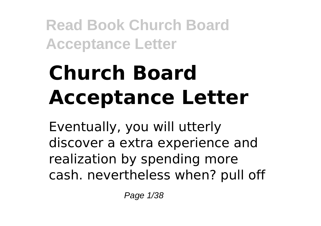# **Church Board Acceptance Letter**

Eventually, you will utterly discover a extra experience and realization by spending more cash. nevertheless when? pull off

Page 1/38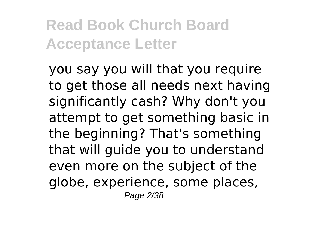you say you will that you require to get those all needs next having significantly cash? Why don't you attempt to get something basic in the beginning? That's something that will guide you to understand even more on the subject of the globe, experience, some places, Page 2/38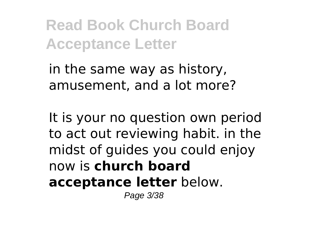in the same way as history, amusement, and a lot more?

It is your no question own period to act out reviewing habit. in the midst of guides you could enjoy now is **church board acceptance letter** below.

Page 3/38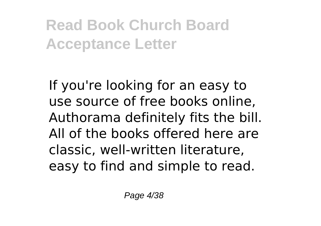If you're looking for an easy to use source of free books online, Authorama definitely fits the bill. All of the books offered here are classic, well-written literature, easy to find and simple to read.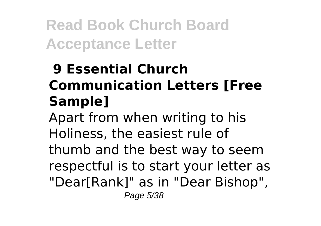## **9 Essential Church Communication Letters [Free Sample]**

Apart from when writing to his Holiness, the easiest rule of thumb and the best way to seem respectful is to start your letter as "Dear[Rank]" as in "Dear Bishop", Page 5/38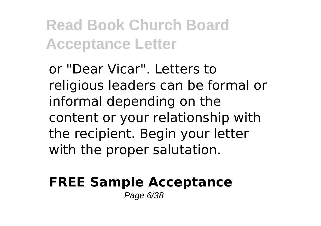or "Dear Vicar". Letters to religious leaders can be formal or informal depending on the content or your relationship with the recipient. Begin your letter with the proper salutation.

### **FREE Sample Acceptance**

Page 6/38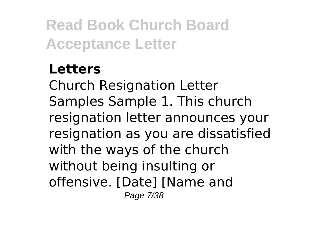### **Letters**

Church Resignation Letter Samples Sample 1. This church resignation letter announces your resignation as you are dissatisfied with the ways of the church without being insulting or offensive. [Date] [Name and Page 7/38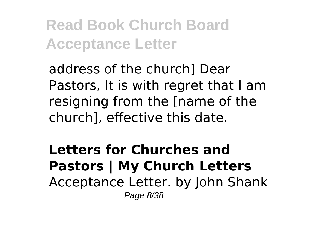address of the church] Dear Pastors, It is with regret that I am resigning from the [name of the church], effective this date.

**Letters for Churches and Pastors | My Church Letters** Acceptance Letter. by John Shank Page 8/38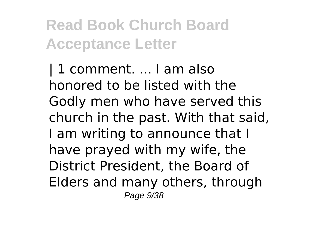| 1 comment. ... I am also honored to be listed with the Godly men who have served this church in the past. With that said, I am writing to announce that I have prayed with my wife, the District President, the Board of Elders and many others, through Page 9/38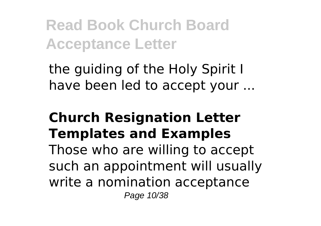the guiding of the Holy Spirit I have been led to accept your ...

#### **Church Resignation Letter Templates and Examples** Those who are willing to accept such an appointment will usually write a nomination acceptance Page 10/38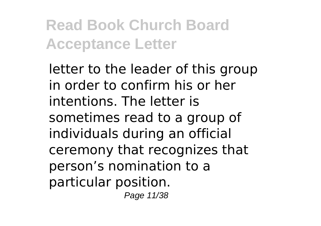letter to the leader of this group in order to confirm his or her intentions. The letter is sometimes read to a group of individuals during an official ceremony that recognizes that person's nomination to a particular position. Page 11/38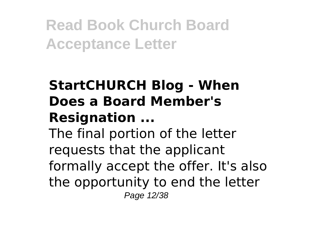## **StartCHURCH Blog - When Does a Board Member's Resignation ...**

The final portion of the letter requests that the applicant formally accept the offer. It's also the opportunity to end the letter Page 12/38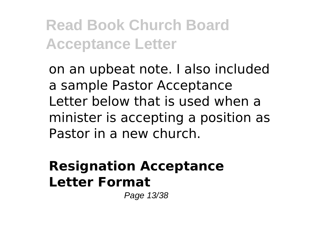on an upbeat note. I also included a sample Pastor Acceptance Letter below that is used when a minister is accepting a position as Pastor in a new church.

### **Resignation Acceptance Letter Format**

Page 13/38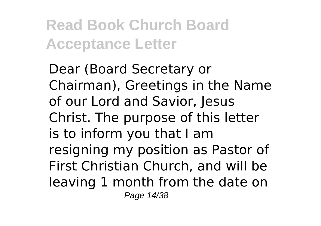Dear (Board Secretary or Chairman), Greetings in the Name of our Lord and Savior, Jesus Christ. The purpose of this letter is to inform you that I am resigning my position as Pastor of First Christian Church, and will be leaving 1 month from the date on Page 14/38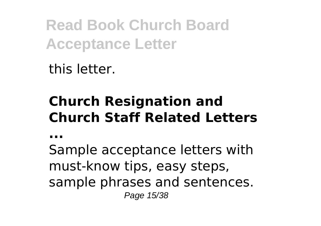this letter.

## **Church Resignation and Church Staff Related Letters**

**...**

Sample acceptance letters with must-know tips, easy steps, sample phrases and sentences. Page 15/38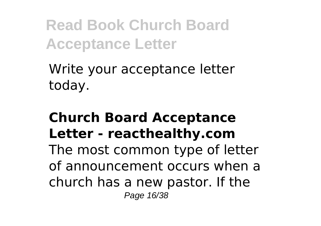Write your acceptance letter today.

#### **Church Board Acceptance Letter - reacthealthy.com** The most common type of letter of announcement occurs when a church has a new pastor. If the Page 16/38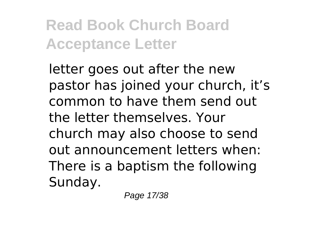letter goes out after the new pastor has joined your church, it's common to have them send out the letter themselves. Your church may also choose to send out announcement letters when: There is a baptism the following Sunday.

Page 17/38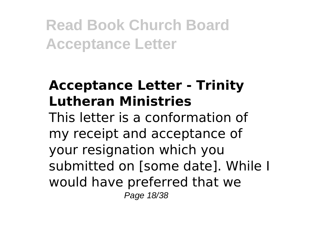### **Acceptance Letter - Trinity Lutheran Ministries**

This letter is a conformation of my receipt and acceptance of your resignation which you submitted on [some date]. While I would have preferred that we Page 18/38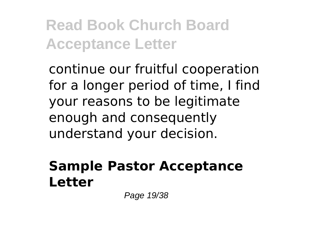continue our fruitful cooperation for a longer period of time, I find your reasons to be legitimate enough and consequently understand your decision.

#### **Sample Pastor Acceptance Letter**

Page 19/38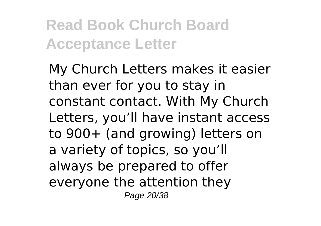My Church Letters makes it easier than ever for you to stay in constant contact. With My Church Letters, you'll have instant access to 900+ (and growing) letters on a variety of topics, so you'll always be prepared to offer everyone the attention they Page 20/38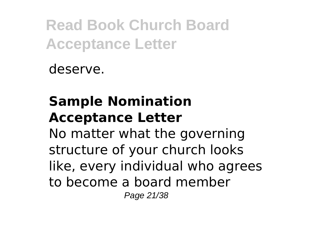deserve.

## **Sample Nomination Acceptance Letter**

No matter what the governing structure of your church looks like, every individual who agrees to become a board member Page 21/38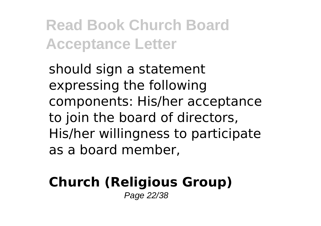should sign a statement expressing the following components: His/her acceptance to join the board of directors, His/her willingness to participate as a board member,

#### **Church (Religious Group)** Page 22/38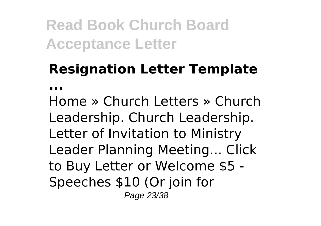## **Resignation Letter Template**

**...**

Home » Church Letters » Church Leadership. Church Leadership. Letter of Invitation to Ministry Leader Planning Meeting... Click to Buy Letter or Welcome \$5 - Speeches \$10 (Or join for Page 23/38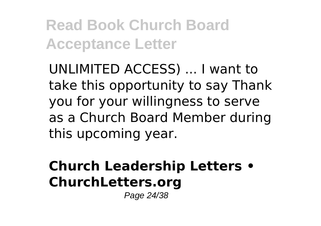UNLIMITED ACCESS) ... I want to take this opportunity to say Thank you for your willingness to serve as a Church Board Member during this upcoming year.

## **Church Leadership Letters • ChurchLetters.org**

Page 24/38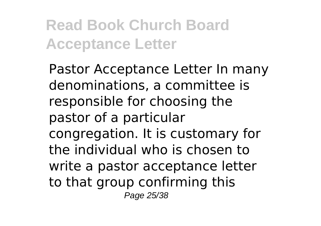Pastor Acceptance Letter In many denominations, a committee is responsible for choosing the pastor of a particular congregation. It is customary for the individual who is chosen to write a pastor acceptance letter to that group confirming this Page 25/38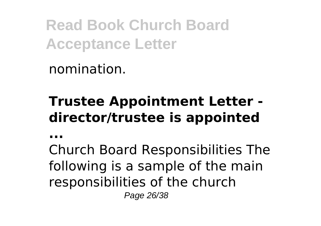nomination.

## **Trustee Appointment Letter director/trustee is appointed**

**...**

Church Board Responsibilities The following is a sample of the main responsibilities of the church Page 26/38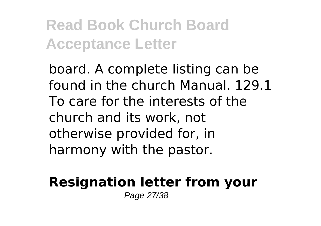board. A complete listing can be found in the church Manual. 129.1 To care for the interests of the church and its work, not otherwise provided for, in harmony with the pastor.

#### **Resignation letter from your** Page 27/38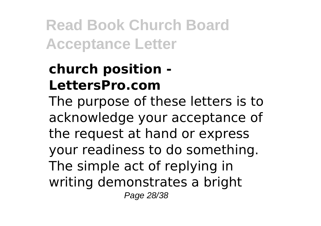## **church position - LettersPro.com**

The purpose of these letters is to acknowledge your acceptance of the request at hand or express your readiness to do something. The simple act of replying in writing demonstrates a bright Page 28/38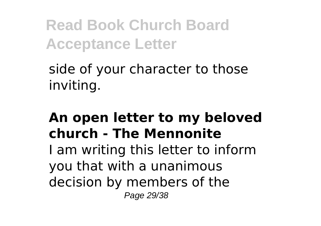side of your character to those inviting.

### **An open letter to my beloved church - The Mennonite**

I am writing this letter to inform you that with a unanimous decision by members of the Page 29/38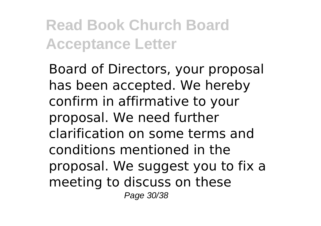Board of Directors, your proposal has been accepted. We hereby confirm in affirmative to your proposal. We need further clarification on some terms and conditions mentioned in the proposal. We suggest you to fix a meeting to discuss on these Page 30/38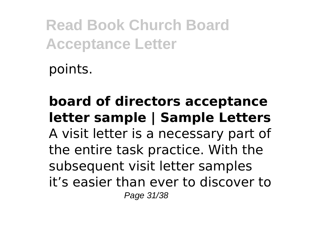points.

#### **board of directors acceptance letter sample | Sample Letters** A visit letter is a necessary part of the entire task practice. With the subsequent visit letter samples it's easier than ever to discover to Page 31/38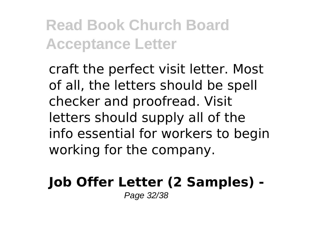craft the perfect visit letter. Most of all, the letters should be spell checker and proofread. Visit letters should supply all of the info essential for workers to begin working for the company.

## **Job Offer Letter (2 Samples) -**

Page 32/38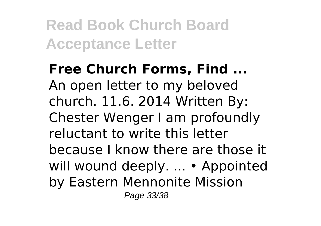**Free Church Forms, Find ...** An open letter to my beloved church. 11.6. 2014 Written By: Chester Wenger I am profoundly reluctant to write this letter because I know there are those it will wound deeply. ... • Appointed by Eastern Mennonite Mission Page 33/38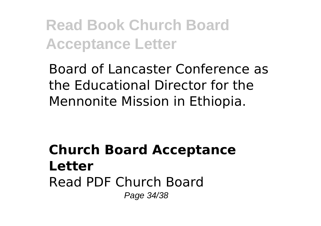Board of Lancaster Conference as the Educational Director for the Mennonite Mission in Ethiopia.

#### **Church Board Acceptance Letter** Read PDF Church Board Page 34/38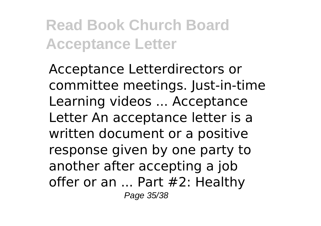Acceptance Letterdirectors or committee meetings. Just-in-time Learning videos ... Acceptance Letter An acceptance letter is a written document or a positive response given by one party to another after accepting a job offer or an ... Part #2: Healthy Page 35/38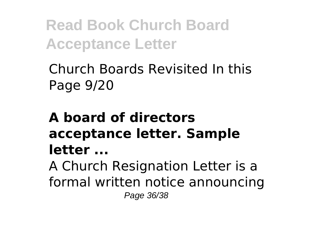Church Boards Revisited In this Page 9/20

## **A board of directors acceptance letter. Sample letter ...**

A Church Resignation Letter is a formal written notice announcing Page 36/38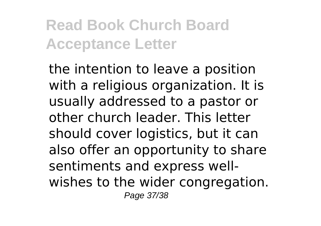the intention to leave a position with a religious organization. It is usually addressed to a pastor or other church leader. This letter should cover logistics, but it can also offer an opportunity to share sentiments and express wellwishes to the wider congregation. Page 37/38